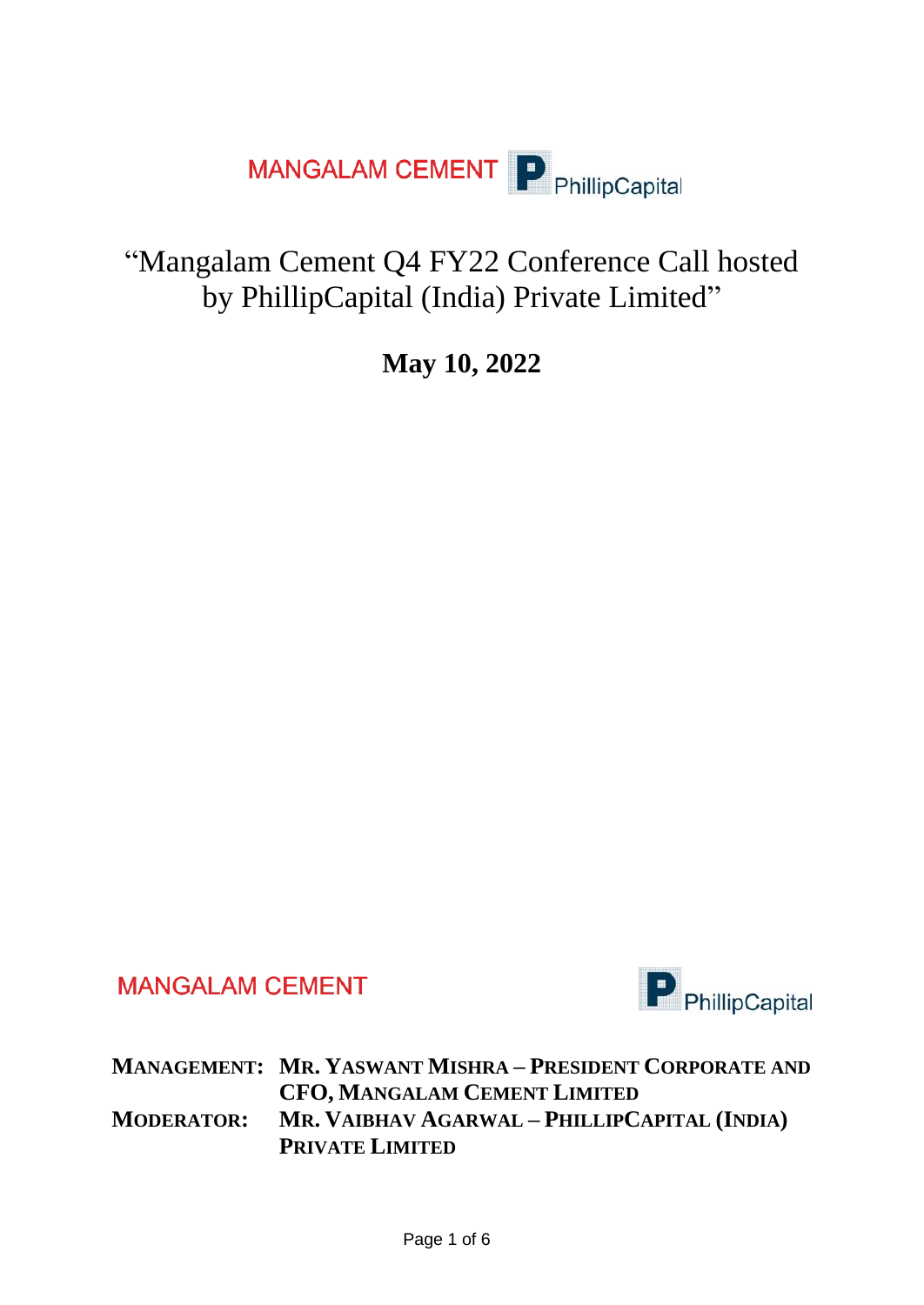

## "Mangalam Cement Q4 FY22 Conference Call hosted by PhillipCapital (India) Private Limited"

**May 10, 2022**

**MANGALAM CEMENT** 



**MANAGEMENT: MR. YASWANT MISHRA – PRESIDENT CORPORATE AND CFO, MANGALAM CEMENT LIMITED MODERATOR: MR. VAIBHAV AGARWAL – PHILLIPCAPITAL (INDIA) PRIVATE LIMITED**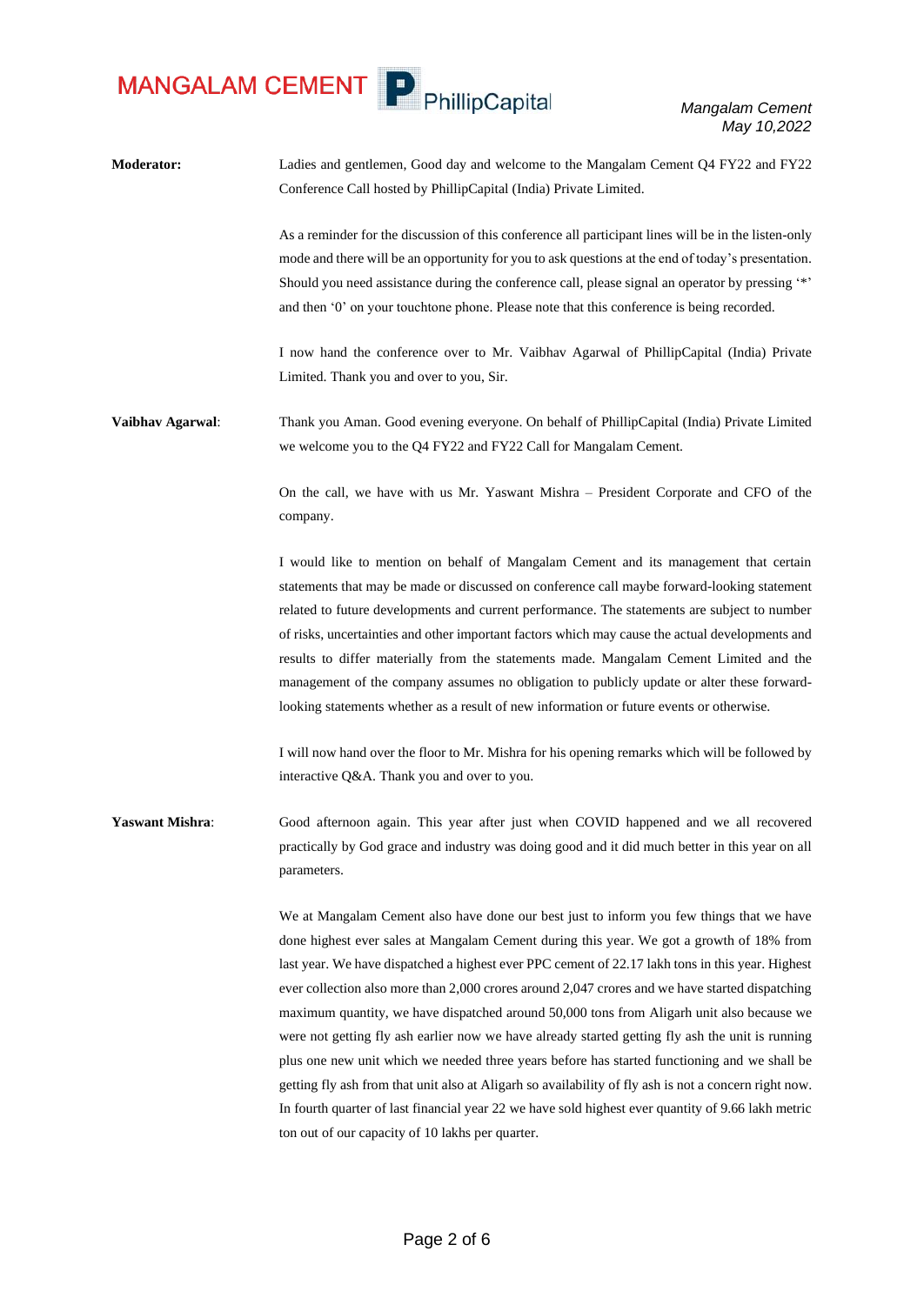

*Mangalam Cement May 10,2022*

**Moderator:** Ladies and gentlemen, Good day and welcome to the Mangalam Cement Q4 FY22 and FY22 Conference Call hosted by PhillipCapital (India) Private Limited.

> As a reminder for the discussion of this conference all participant lines will be in the listen-only mode and there will be an opportunity for you to ask questions at the end of today's presentation. Should you need assistance during the conference call, please signal an operator by pressing '\*' and then '0' on your touchtone phone. Please note that this conference is being recorded.

> I now hand the conference over to Mr. Vaibhav Agarwal of PhillipCapital (India) Private Limited. Thank you and over to you, Sir.

**Vaibhav Agarwal**: Thank you Aman. Good evening everyone. On behalf of PhillipCapital (India) Private Limited we welcome you to the Q4 FY22 and FY22 Call for Mangalam Cement.

> On the call, we have with us Mr. Yaswant Mishra – President Corporate and CFO of the company.

> I would like to mention on behalf of Mangalam Cement and its management that certain statements that may be made or discussed on conference call maybe forward-looking statement related to future developments and current performance. The statements are subject to number of risks, uncertainties and other important factors which may cause the actual developments and results to differ materially from the statements made. Mangalam Cement Limited and the management of the company assumes no obligation to publicly update or alter these forwardlooking statements whether as a result of new information or future events or otherwise.

> I will now hand over the floor to Mr. Mishra for his opening remarks which will be followed by interactive Q&A. Thank you and over to you.

**Yaswant Mishra**: Good afternoon again. This year after just when COVID happened and we all recovered practically by God grace and industry was doing good and it did much better in this year on all parameters.

> We at Mangalam Cement also have done our best just to inform you few things that we have done highest ever sales at Mangalam Cement during this year. We got a growth of 18% from last year. We have dispatched a highest ever PPC cement of 22.17 lakh tons in this year. Highest ever collection also more than 2,000 crores around 2,047 crores and we have started dispatching maximum quantity, we have dispatched around 50,000 tons from Aligarh unit also because we were not getting fly ash earlier now we have already started getting fly ash the unit is running plus one new unit which we needed three years before has started functioning and we shall be getting fly ash from that unit also at Aligarh so availability of fly ash is not a concern right now. In fourth quarter of last financial year 22 we have sold highest ever quantity of 9.66 lakh metric ton out of our capacity of 10 lakhs per quarter.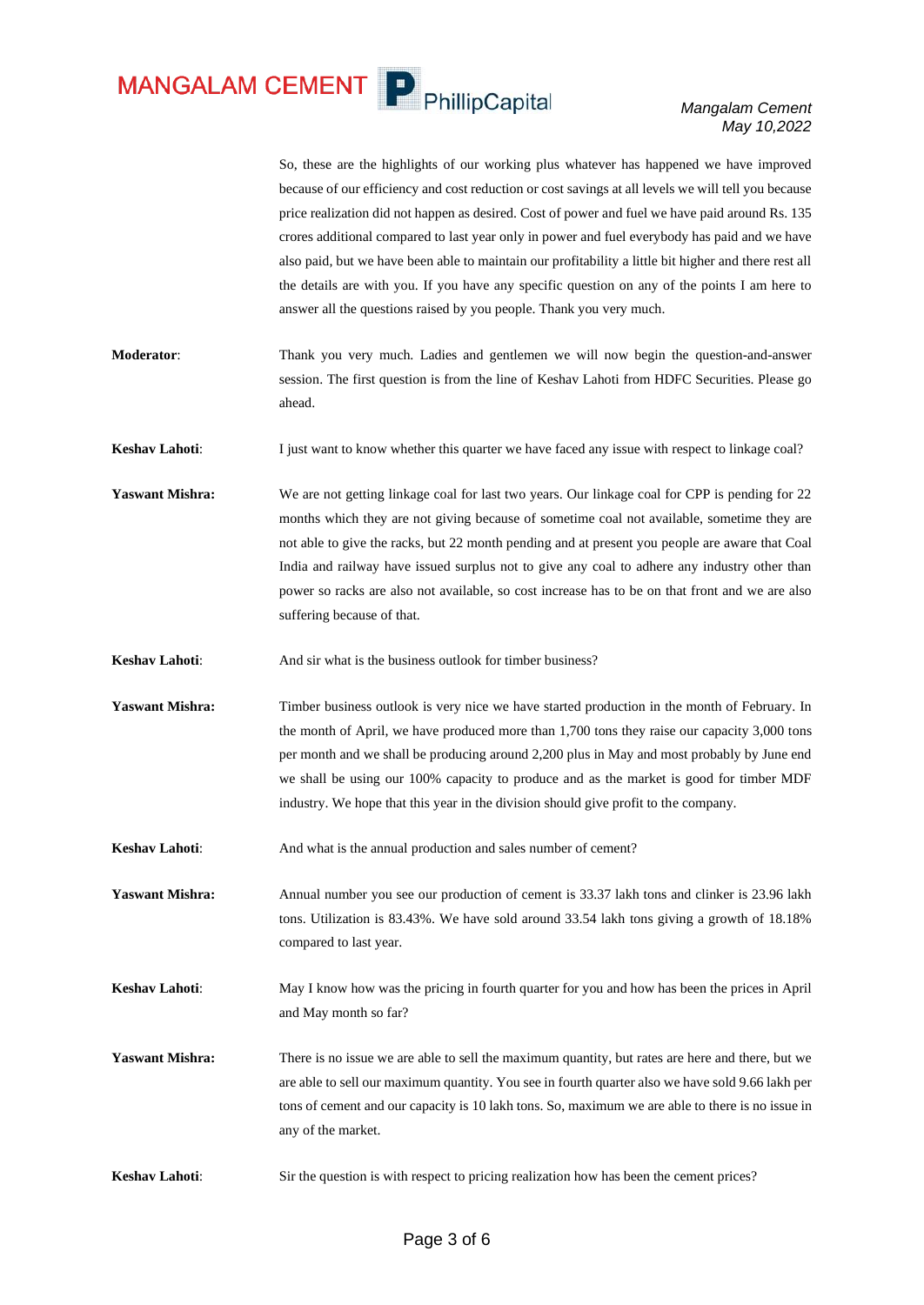MANGALAM CEMENT P PhillipCapital

*Mangalam Cement May 10,2022*

So, these are the highlights of our working plus whatever has happened we have improved because of our efficiency and cost reduction or cost savings at all levels we will tell you because price realization did not happen as desired. Cost of power and fuel we have paid around Rs. 135 crores additional compared to last year only in power and fuel everybody has paid and we have also paid, but we have been able to maintain our profitability a little bit higher and there rest all the details are with you. If you have any specific question on any of the points I am here to answer all the questions raised by you people. Thank you very much. **Moderator**: Thank you very much. Ladies and gentlemen we will now begin the question-and-answer session. The first question is from the line of Keshav Lahoti from HDFC Securities. Please go ahead. **Keshav Lahoti:** I just want to know whether this quarter we have faced any issue with respect to linkage coal? **Yaswant Mishra:** We are not getting linkage coal for last two years. Our linkage coal for CPP is pending for 22 months which they are not giving because of sometime coal not available, sometime they are not able to give the racks, but 22 month pending and at present you people are aware that Coal India and railway have issued surplus not to give any coal to adhere any industry other than power so racks are also not available, so cost increase has to be on that front and we are also suffering because of that. **Keshav Lahoti:** And sir what is the business outlook for timber business? **Yaswant Mishra:** Timber business outlook is very nice we have started production in the month of February. In the month of April, we have produced more than 1,700 tons they raise our capacity 3,000 tons per month and we shall be producing around 2,200 plus in May and most probably by June end we shall be using our 100% capacity to produce and as the market is good for timber MDF industry. We hope that this year in the division should give profit to the company. **Keshav Lahoti:** And what is the annual production and sales number of cement? **Yaswant Mishra:** Annual number you see our production of cement is 33.37 lakh tons and clinker is 23.96 lakh tons. Utilization is 83.43%. We have sold around 33.54 lakh tons giving a growth of 18.18% compared to last year. **Keshav Lahoti:** May I know how was the pricing in fourth quarter for you and how has been the prices in April and May month so far? **Yaswant Mishra:** There is no issue we are able to sell the maximum quantity, but rates are here and there, but we are able to sell our maximum quantity. You see in fourth quarter also we have sold 9.66 lakh per tons of cement and our capacity is 10 lakh tons. So, maximum we are able to there is no issue in any of the market. **Keshav Lahoti:** Sir the question is with respect to pricing realization how has been the cement prices?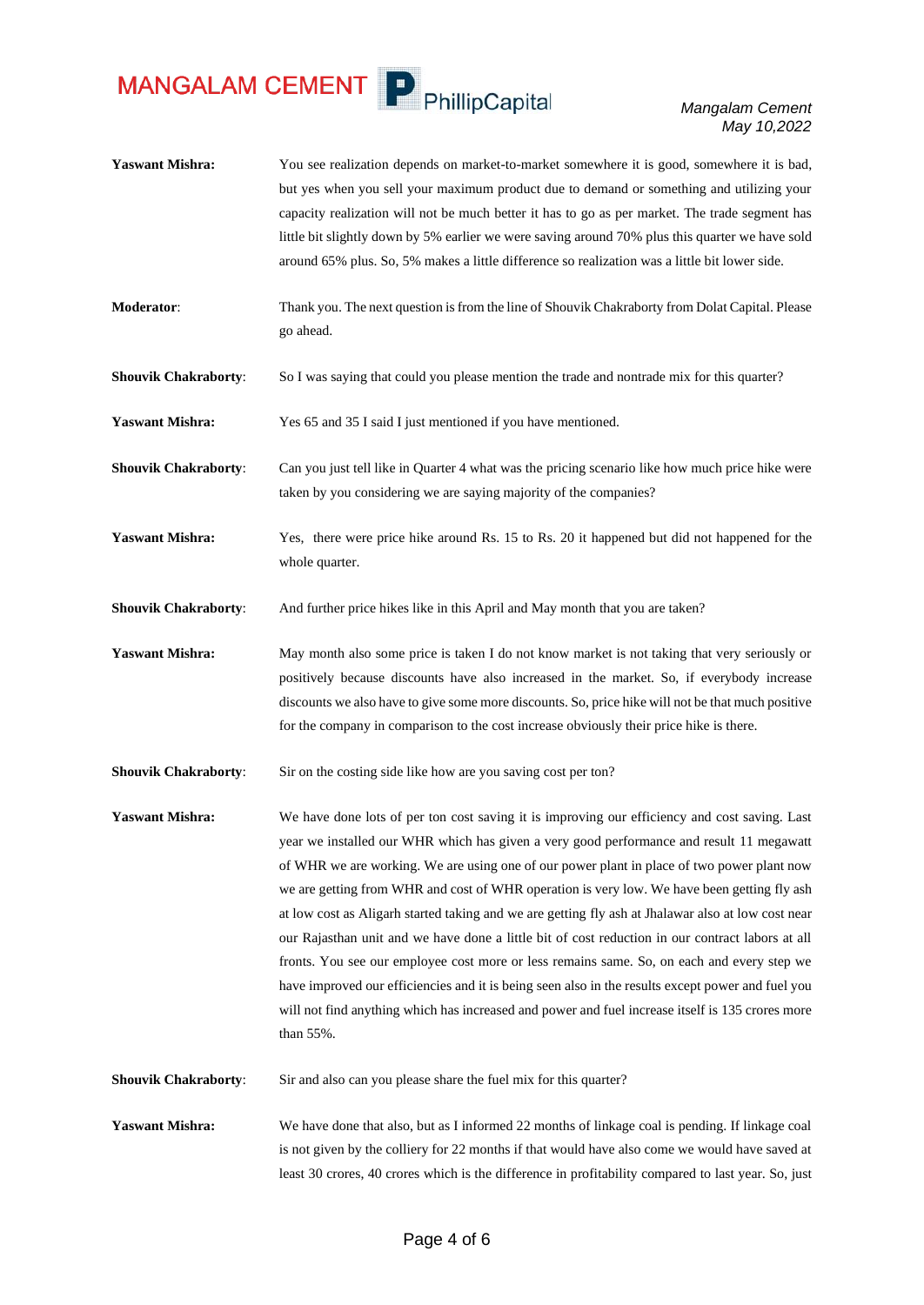MANGALAM CEMENT P PhillipCapital

*Mangalam Cement May 10,2022*

- Yaswant Mishra: You see realization depends on market-to-market somewhere it is good, somewhere it is bad, but yes when you sell your maximum product due to demand or something and utilizing your capacity realization will not be much better it has to go as per market. The trade segment has little bit slightly down by 5% earlier we were saving around 70% plus this quarter we have sold around 65% plus. So, 5% makes a little difference so realization was a little bit lower side.
- **Moderator**: Thank you. The next question is from the line of Shouvik Chakraborty from Dolat Capital. Please go ahead.
- **Shouvik Chakraborty:** So I was saying that could you please mention the trade and nontrade mix for this quarter?

**Yaswant Mishra:** Yes 65 and 35 I said I just mentioned if you have mentioned.

**Shouvik Chakraborty**: Can you just tell like in Quarter 4 what was the pricing scenario like how much price hike were taken by you considering we are saying majority of the companies?

**Yaswant Mishra:** Yes, there were price hike around Rs. 15 to Rs. 20 it happened but did not happened for the whole quarter.

**Shouvik Chakraborty:** And further price hikes like in this April and May month that you are taken?

Yaswant Mishra: May month also some price is taken I do not know market is not taking that very seriously or positively because discounts have also increased in the market. So, if everybody increase discounts we also have to give some more discounts. So, price hike will not be that much positive for the company in comparison to the cost increase obviously their price hike is there.

**Shouvik Chakraborty:** Sir on the costing side like how are you saving cost per ton?

**Yaswant Mishra:** We have done lots of per ton cost saving it is improving our efficiency and cost saving. Last year we installed our WHR which has given a very good performance and result 11 megawatt of WHR we are working. We are using one of our power plant in place of two power plant now we are getting from WHR and cost of WHR operation is very low. We have been getting fly ash at low cost as Aligarh started taking and we are getting fly ash at Jhalawar also at low cost near our Rajasthan unit and we have done a little bit of cost reduction in our contract labors at all fronts. You see our employee cost more or less remains same. So, on each and every step we have improved our efficiencies and it is being seen also in the results except power and fuel you will not find anything which has increased and power and fuel increase itself is 135 crores more than 55%.

**Shouvik Chakraborty:** Sir and also can you please share the fuel mix for this quarter?

**Yaswant Mishra:** We have done that also, but as I informed 22 months of linkage coal is pending. If linkage coal is not given by the colliery for 22 months if that would have also come we would have saved at least 30 crores, 40 crores which is the difference in profitability compared to last year. So, just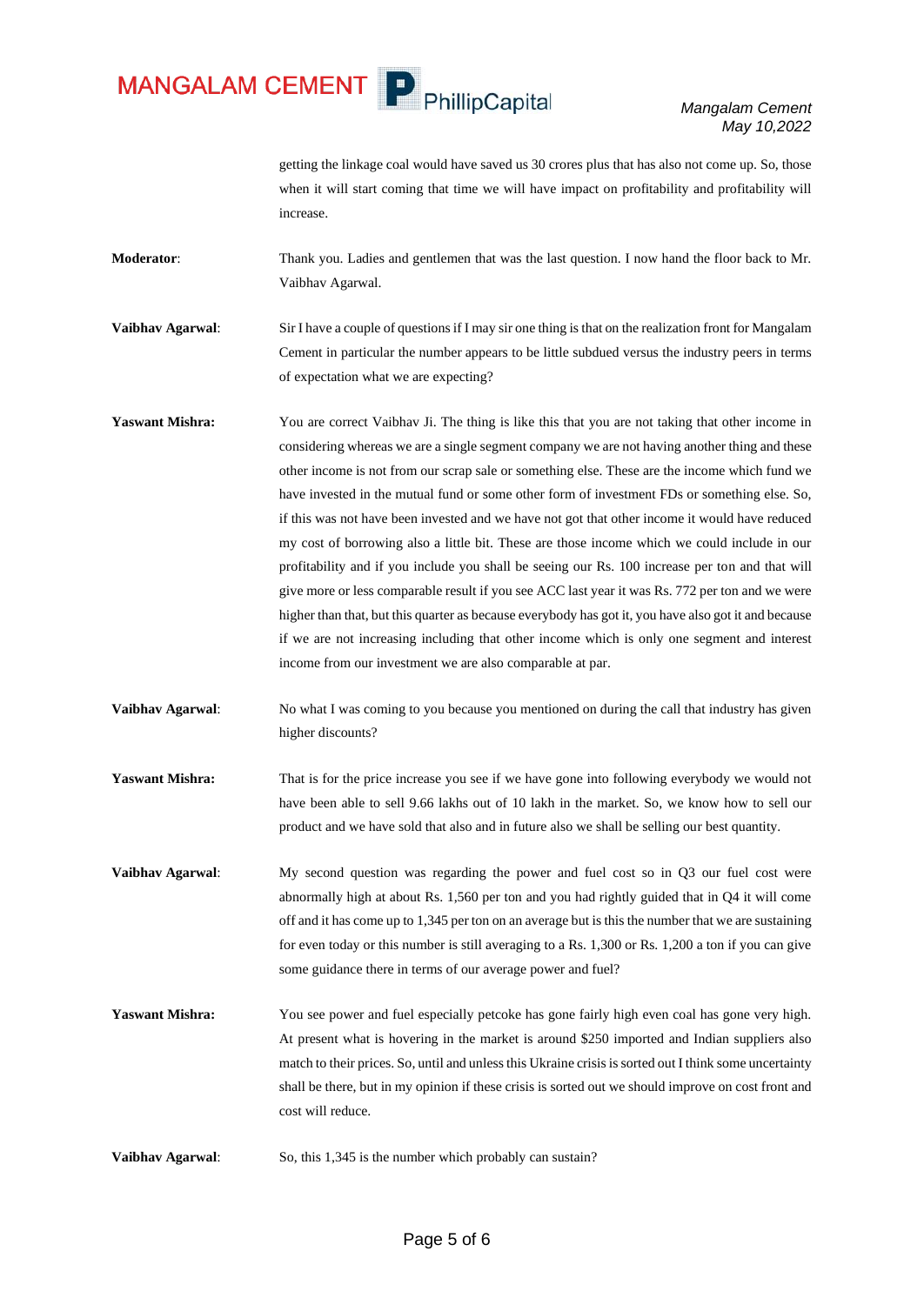MANGALAM CEMENT P PhillipCapital

*Mangalam Cement May 10,2022*

getting the linkage coal would have saved us 30 crores plus that has also not come up. So, those when it will start coming that time we will have impact on profitability and profitability will increase.

**Moderator**: Thank you. Ladies and gentlemen that was the last question. I now hand the floor back to Mr. Vaibhav Agarwal.

**Vaibhav Agarwal**: Sir I have a couple of questions if I may sir one thing is that on the realization front for Mangalam Cement in particular the number appears to be little subdued versus the industry peers in terms of expectation what we are expecting?

Yaswant Mishra: You are correct Vaibhav Ji. The thing is like this that you are not taking that other income in considering whereas we are a single segment company we are not having another thing and these other income is not from our scrap sale or something else. These are the income which fund we have invested in the mutual fund or some other form of investment FDs or something else. So, if this was not have been invested and we have not got that other income it would have reduced my cost of borrowing also a little bit. These are those income which we could include in our profitability and if you include you shall be seeing our Rs. 100 increase per ton and that will give more or less comparable result if you see ACC last year it was Rs. 772 per ton and we were higher than that, but this quarter as because everybody has got it, you have also got it and because if we are not increasing including that other income which is only one segment and interest income from our investment we are also comparable at par.

**Vaibhav Agarwal:** No what I was coming to you because you mentioned on during the call that industry has given higher discounts?

**Yaswant Mishra:** That is for the price increase you see if we have gone into following everybody we would not have been able to sell 9.66 lakhs out of 10 lakh in the market. So, we know how to sell our product and we have sold that also and in future also we shall be selling our best quantity.

**Vaibhav Agarwal:** My second question was regarding the power and fuel cost so in Q3 our fuel cost were abnormally high at about Rs. 1,560 per ton and you had rightly guided that in Q4 it will come off and it has come up to 1,345 per ton on an average but is this the number that we are sustaining for even today or this number is still averaging to a Rs. 1,300 or Rs. 1,200 a ton if you can give some guidance there in terms of our average power and fuel?

**Yaswant Mishra:** You see power and fuel especially petcoke has gone fairly high even coal has gone very high. At present what is hovering in the market is around \$250 imported and Indian suppliers also match to their prices. So, until and unless this Ukraine crisis is sorted out I think some uncertainty shall be there, but in my opinion if these crisis is sorted out we should improve on cost front and cost will reduce.

**Vaibhav Agarwal:** So, this 1,345 is the number which probably can sustain?